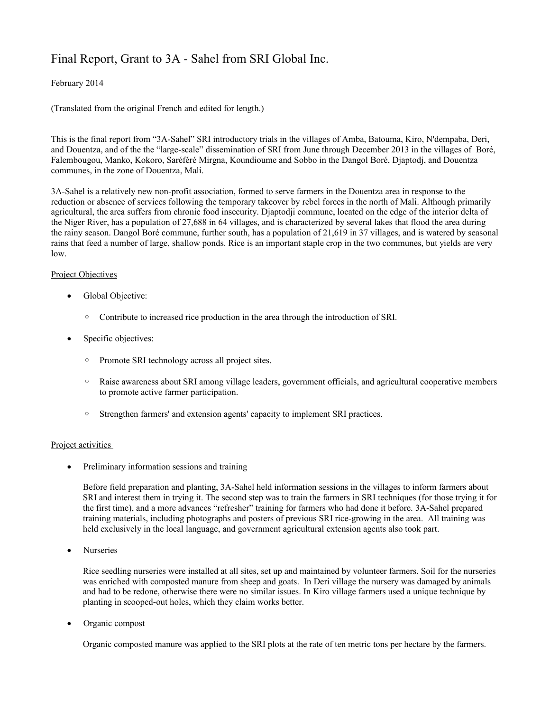## Final Report, Grant to 3A - Sahel from SRI Global Inc.

## February 2014

(Translated from the original French and edited for length.)

This is the final report from "3A-Sahel" SRI introductory trials in the villages of Amba, Batouma, Kiro, N'dempaba, Deri, and Douentza, and of the the "large-scale" dissemination of SRI from June through December 2013 in the villages of Boré, Falembougou, Manko, Kokoro, Saréféré Mirgna, Koundioume and Sobbo in the Dangol Boré, Djaptodj, and Douentza communes, in the zone of Douentza, Mali.

3A-Sahel is a relatively new non-profit association, formed to serve farmers in the Douentza area in response to the reduction or absence of services following the temporary takeover by rebel forces in the north of Mali. Although primarily agricultural, the area suffers from chronic food insecurity. Djaptodji commune, located on the edge of the interior delta of the Niger River, has a population of 27,688 in 64 villages, and is characterized by several lakes that flood the area during the rainy season. Dangol Boré commune, further south, has a population of 21,619 in 37 villages, and is watered by seasonal rains that feed a number of large, shallow ponds. Rice is an important staple crop in the two communes, but yields are very low.

## Project Objectives

- Global Objective:
	- Contribute to increased rice production in the area through the introduction of SRI.
- Specific objectives:
	- Promote SRI technology across all project sites.
	- Raise awareness about SRI among village leaders, government officials, and agricultural cooperative members to promote active farmer participation.
	- Strengthen farmers' and extension agents' capacity to implement SRI practices.

## Project activities

• Preliminary information sessions and training

Before field preparation and planting, 3A-Sahel held information sessions in the villages to inform farmers about SRI and interest them in trying it. The second step was to train the farmers in SRI techniques (for those trying it for the first time), and a more advances "refresher" training for farmers who had done it before. 3A-Sahel prepared training materials, including photographs and posters of previous SRI rice-growing in the area. All training was held exclusively in the local language, and government agricultural extension agents also took part.

Nurseries

Rice seedling nurseries were installed at all sites, set up and maintained by volunteer farmers. Soil for the nurseries was enriched with composted manure from sheep and goats. In Deri village the nursery was damaged by animals and had to be redone, otherwise there were no similar issues. In Kiro village farmers used a unique technique by planting in scooped-out holes, which they claim works better.

Organic compost

Organic composted manure was applied to the SRI plots at the rate of ten metric tons per hectare by the farmers.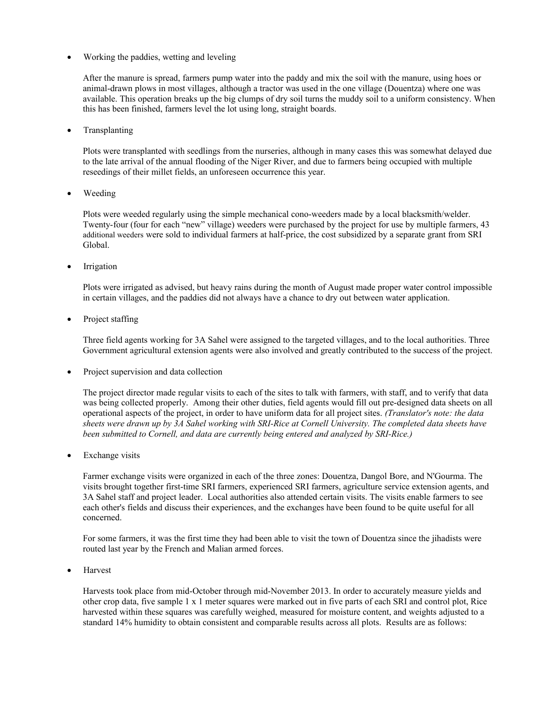Working the paddies, wetting and leveling

After the manure is spread, farmers pump water into the paddy and mix the soil with the manure, using hoes or animal-drawn plows in most villages, although a tractor was used in the one village (Douentza) where one was available. This operation breaks up the big clumps of dry soil turns the muddy soil to a uniform consistency. When this has been finished, farmers level the lot using long, straight boards.

• Transplanting

Plots were transplanted with seedlings from the nurseries, although in many cases this was somewhat delayed due to the late arrival of the annual flooding of the Niger River, and due to farmers being occupied with multiple reseedings of their millet fields, an unforeseen occurrence this year.

Weeding

Plots were weeded regularly using the simple mechanical cono-weeders made by a local blacksmith/welder. Twenty-four (four for each "new" village) weeders were purchased by the project for use by multiple farmers, 43 additional weeders were sold to individual farmers at half-price, the cost subsidized by a separate grant from SRI Global.

Irrigation

Plots were irrigated as advised, but heavy rains during the month of August made proper water control impossible in certain villages, and the paddies did not always have a chance to dry out between water application.

• Project staffing

Three field agents working for 3A Sahel were assigned to the targeted villages, and to the local authorities. Three Government agricultural extension agents were also involved and greatly contributed to the success of the project.

Project supervision and data collection

The project director made regular visits to each of the sites to talk with farmers, with staff, and to verify that data was being collected properly. Among their other duties, field agents would fill out pre-designed data sheets on all operational aspects of the project, in order to have uniform data for all project sites. *(Translator's note: the data sheets were drawn up by 3A Sahel working with SRI-Rice at Cornell University. The completed data sheets have been submitted to Cornell, and data are currently being entered and analyzed by SRI-Rice.)*

Exchange visits

Farmer exchange visits were organized in each of the three zones: Douentza, Dangol Bore, and N'Gourma. The visits brought together first-time SRI farmers, experienced SRI farmers, agriculture service extension agents, and 3A Sahel staff and project leader. Local authorities also attended certain visits. The visits enable farmers to see each other's fields and discuss their experiences, and the exchanges have been found to be quite useful for all concerned.

For some farmers, it was the first time they had been able to visit the town of Douentza since the jihadists were routed last year by the French and Malian armed forces.

Harvest

Harvests took place from mid-October through mid-November 2013. In order to accurately measure yields and other crop data, five sample 1 x 1 meter squares were marked out in five parts of each SRI and control plot, Rice harvested within these squares was carefully weighed, measured for moisture content, and weights adjusted to a standard 14% humidity to obtain consistent and comparable results across all plots. Results are as follows: